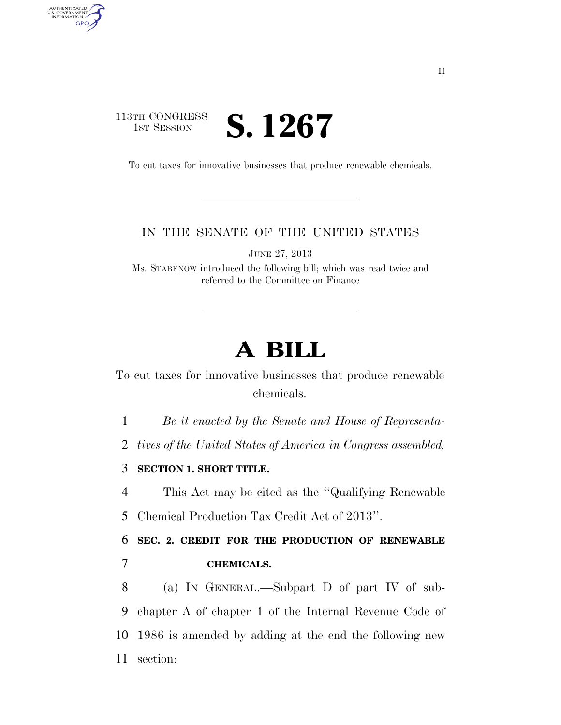## 113TH CONGRESS **1ST SESSION S. 1267**

AUTHENTICATED<br>U.S. GOVERNMENT<br>INFORMATION GPO

To cut taxes for innovative businesses that produce renewable chemicals.

## IN THE SENATE OF THE UNITED STATES

JUNE 27, 2013

Ms. STABENOW introduced the following bill; which was read twice and referred to the Committee on Finance

## **A BILL**

To cut taxes for innovative businesses that produce renewable chemicals.

1 *Be it enacted by the Senate and House of Representa-*

2 *tives of the United States of America in Congress assembled,* 

3 **SECTION 1. SHORT TITLE.** 

4 This Act may be cited as the ''Qualifying Renewable 5 Chemical Production Tax Credit Act of 2013''.

6 **SEC. 2. CREDIT FOR THE PRODUCTION OF RENEWABLE**  7 **CHEMICALS.** 

 (a) IN GENERAL.—Subpart D of part IV of sub- chapter A of chapter 1 of the Internal Revenue Code of 1986 is amended by adding at the end the following new section: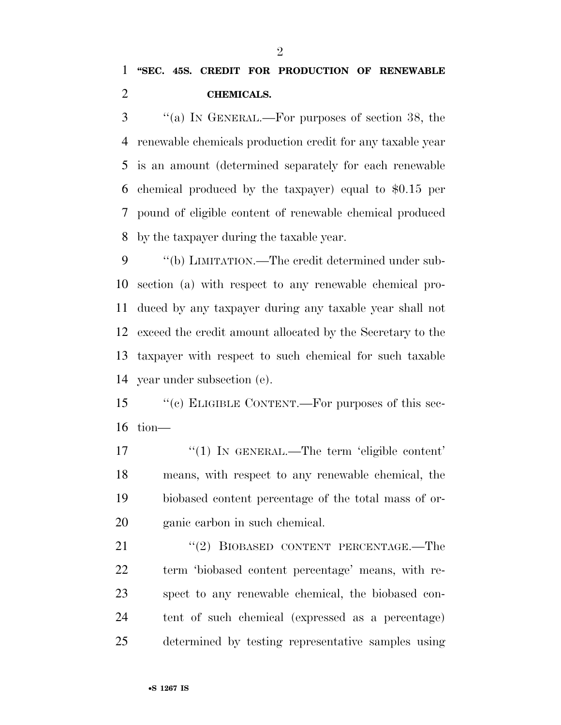''(a) IN GENERAL.—For purposes of section 38, the renewable chemicals production credit for any taxable year is an amount (determined separately for each renewable chemical produced by the taxpayer) equal to \$0.15 per pound of eligible content of renewable chemical produced by the taxpayer during the taxable year.

9 "(b) LIMITATION.—The credit determined under sub- section (a) with respect to any renewable chemical pro- duced by any taxpayer during any taxable year shall not exceed the credit amount allocated by the Secretary to the taxpayer with respect to such chemical for such taxable year under subsection (e).

 ''(c) ELIGIBLE CONTENT.—For purposes of this sec-tion—

 ''(1) IN GENERAL.—The term 'eligible content' means, with respect to any renewable chemical, the biobased content percentage of the total mass of or-ganic carbon in such chemical.

21 ''(2) BIOBASED CONTENT PERCENTAGE.—The term 'biobased content percentage' means, with re- spect to any renewable chemical, the biobased con- tent of such chemical (expressed as a percentage) determined by testing representative samples using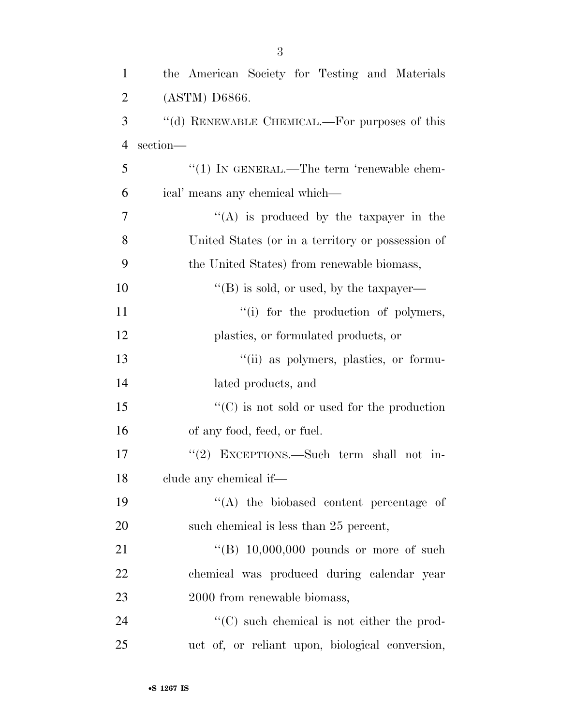| $\mathbf{1}$   | the American Society for Testing and Materials      |
|----------------|-----------------------------------------------------|
| $\overline{2}$ | (ASTM) D6866.                                       |
| 3              | "(d) RENEWABLE CHEMICAL.—For purposes of this       |
| $\overline{4}$ | section-                                            |
| 5              | $\lq(1)$ IN GENERAL.—The term 'renewable chem-      |
| 6              | ical' means any chemical which-                     |
| 7              | "(A) is produced by the taxpayer in the             |
| 8              | United States (or in a territory or possession of   |
| 9              | the United States) from renewable biomass,          |
| 10             | "(B) is sold, or used, by the taxpayer—             |
| 11             | "(i) for the production of polymers,                |
| 12             | plastics, or formulated products, or                |
| 13             | "(ii) as polymers, plastics, or formu-              |
| 14             | lated products, and                                 |
| 15             | $\lq\lq$ (C) is not sold or used for the production |
| 16             | of any food, feed, or fuel.                         |
| 17             | "(2) EXCEPTIONS.—Such term shall not in-            |
| 18             | clude any chemical if-                              |
| 19             | $\lq\lq$ the biobased content percentage of         |
| 20             | such chemical is less than 25 percent,              |
| 21             | "(B) $10,000,000$ pounds or more of such            |
| 22             | chemical was produced during calendar year          |
| 23             | 2000 from renewable biomass,                        |
| 24             | $\lq\lq$ such chemical is not either the prod-      |
| 25             | uct of, or reliant upon, biological conversion,     |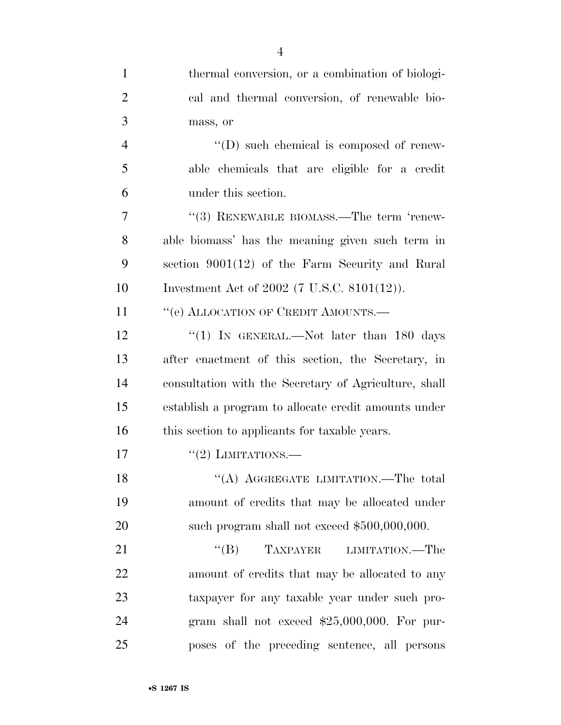| $\mathbf{1}$   | thermal conversion, or a combination of biologi-      |
|----------------|-------------------------------------------------------|
| $\overline{2}$ | cal and thermal conversion, of renewable bio-         |
| 3              | mass, or                                              |
| $\overline{4}$ | "(D) such chemical is composed of renew-              |
| 5              | able chemicals that are eligible for a credit         |
| 6              | under this section.                                   |
| 7              | "(3) RENEWABLE BIOMASS.—The term 'renew-              |
| 8              | able biomass' has the meaning given such term in      |
| 9              | section $9001(12)$ of the Farm Security and Rural     |
| 10             | Investment Act of 2002 (7 U.S.C. 8101(12)).           |
| 11             | "(e) ALLOCATION OF CREDIT AMOUNTS.                    |
| 12             | "(1) IN GENERAL.—Not later than 180 days              |
| 13             | after enactment of this section, the Secretary, in    |
| 14             | consultation with the Secretary of Agriculture, shall |
| 15             | establish a program to allocate credit amounts under  |
| 16             | this section to applicants for taxable years.         |
| 17             | $``(2)$ LIMITATIONS.—                                 |
| 18             | "(A) AGGREGATE LIMITATION.—The total                  |
| 19             | amount of credits that may be allocated under         |
| 20             | such program shall not exceed \$500,000,000.          |
| 21             | TAXPAYER<br>$\lq\lq (B)$<br>LIMITATION.—The           |
| 22             | amount of credits that may be allocated to any        |
| 23             | taxpayer for any taxable year under such pro-         |
| 24             | gram shall not exceed $$25,000,000$ . For pur-        |
| 25             | poses of the preceding sentence, all persons          |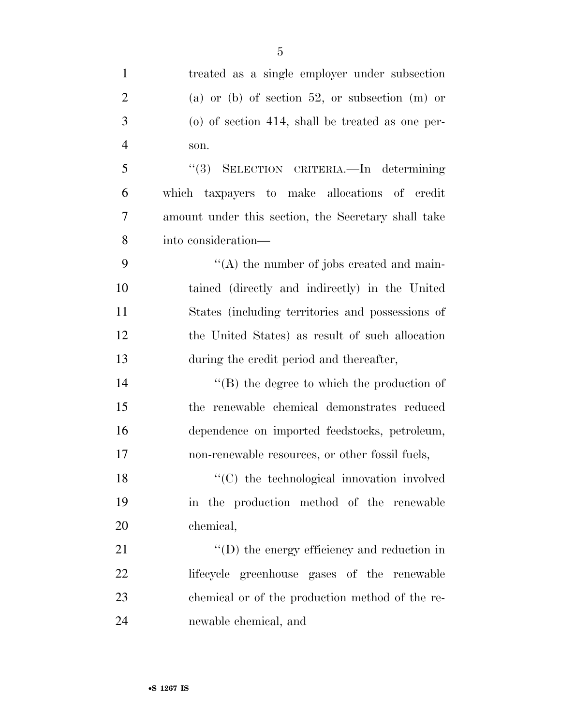| $\mathbf{1}$   | treated as a single employer under subsection         |
|----------------|-------------------------------------------------------|
| $\overline{2}$ | (a) or (b) of section 52, or subsection (m) or        |
| 3              | $\alpha$ of section 414, shall be treated as one per- |
| $\overline{4}$ | son.                                                  |
| 5              | "(3) SELECTION CRITERIA. In determining               |
| 6              | which taxpayers to make allocations of credit         |
| 7              | amount under this section, the Secretary shall take   |
| 8              | into consideration—                                   |
| 9              | $\lq\lq$ the number of jobs created and main-         |
| 10             | tained (directly and indirectly) in the United        |
| 11             | States (including territories and possessions of      |
| 12             | the United States) as result of such allocation       |
| 13             | during the credit period and thereafter,              |
| 14             | $\lq\lq$ the degree to which the production of        |
| 15             | the renewable chemical demonstrates reduced           |
| 16             | dependence on imported feedstocks, petroleum,         |
| 17             | non-renewable resources, or other fossil fuels,       |
| 18             | $\lq\lq$ (C) the technological innovation involved    |
| 19             | in the production method of the renewable             |
| 20             | chemical,                                             |
| 21             | $\lq\lq$ the energy efficiency and reduction in       |
| 22             | lifecycle greenhouse gases of the renewable           |
| 23             | chemical or of the production method of the re-       |
| 24             | newable chemical, and                                 |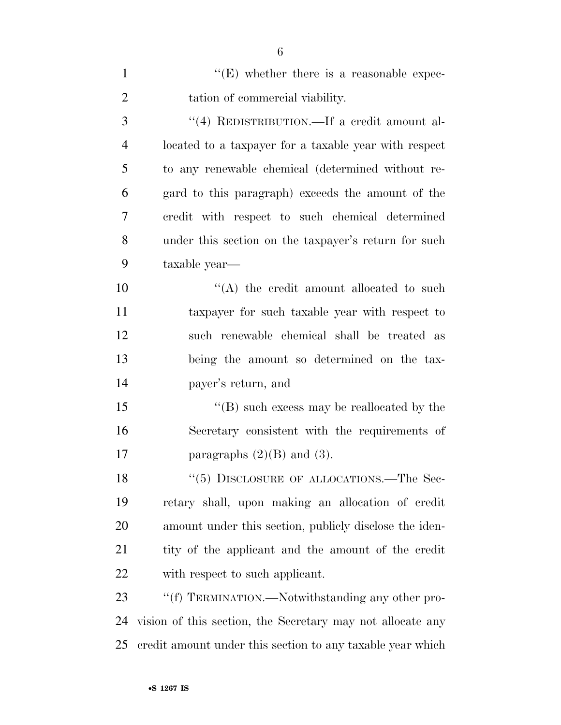| $\mathbf{1}$   | $\lq\lq(E)$ whether there is a reasonable expec-           |
|----------------|------------------------------------------------------------|
| $\overline{2}$ | tation of commercial viability.                            |
| 3              | "(4) REDISTRIBUTION.—If a credit amount al-                |
| 4              | located to a taxpayer for a taxable year with respect      |
| 5              | to any renewable chemical (determined without re-          |
| 6              | gard to this paragraph) exceeds the amount of the          |
| 7              | credit with respect to such chemical determined            |
| 8              | under this section on the taxpayer's return for such       |
| 9              | taxable year—                                              |
| 10             | $\lq\lq$ the credit amount allocated to such               |
| 11             | taxpayer for such taxable year with respect to             |
| 12             | such renewable chemical shall be treated as                |
| 13             | being the amount so determined on the tax-                 |
| 14             | payer's return, and                                        |
| 15             | $\lq\lq (B)$ such excess may be reallocated by the         |
| 16             | Secretary consistent with the requirements of              |
| 17             | paragraphs $(2)(B)$ and $(3)$ .                            |
| 18             | "(5) DISCLOSURE OF ALLOCATIONS.—The Sec-                   |
| 19             | retary shall, upon making an allocation of credit          |
| 20             | amount under this section, publicly disclose the iden-     |
| 21             | tity of the applicant and the amount of the credit         |
| 22             | with respect to such applicant.                            |
| 23             | "(f) TERMINATION.—Notwithstanding any other pro-           |
| 24             | vision of this section, the Secretary may not allocate any |
| 25             | credit amount under this section to any taxable year which |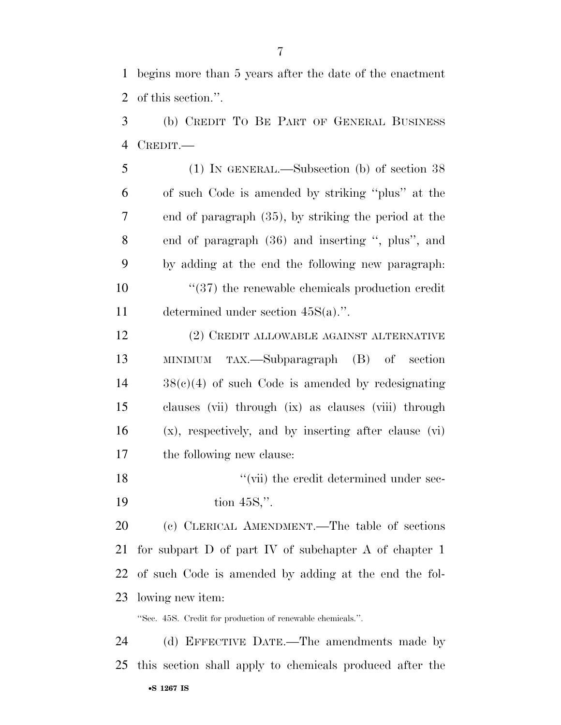begins more than 5 years after the date of the enactment of this section.''.

 (b) CREDIT TO BE PART OF GENERAL BUSINESS CREDIT.—

 (1) IN GENERAL.—Subsection (b) of section 38 of such Code is amended by striking ''plus'' at the end of paragraph (35), by striking the period at the end of paragraph (36) and inserting '', plus'', and by adding at the end the following new paragraph:  $\frac{10}{37}$  the renewable chemicals production credit determined under section 45S(a).''.

 (2) CREDIT ALLOWABLE AGAINST ALTERNATIVE MINIMUM TAX.—Subparagraph (B) of section 38(c)(4) of such Code is amended by redesignating clauses (vii) through (ix) as clauses (viii) through (x), respectively, and by inserting after clause (vi) the following new clause:

18 ''(vii) the credit determined under sec-19 tion 45S,".

 (c) CLERICAL AMENDMENT.—The table of sections for subpart D of part IV of subchapter A of chapter 1 of such Code is amended by adding at the end the fol-lowing new item:

''Sec. 45S. Credit for production of renewable chemicals.''.

•**S 1267 IS** (d) EFFECTIVE DATE.—The amendments made by this section shall apply to chemicals produced after the